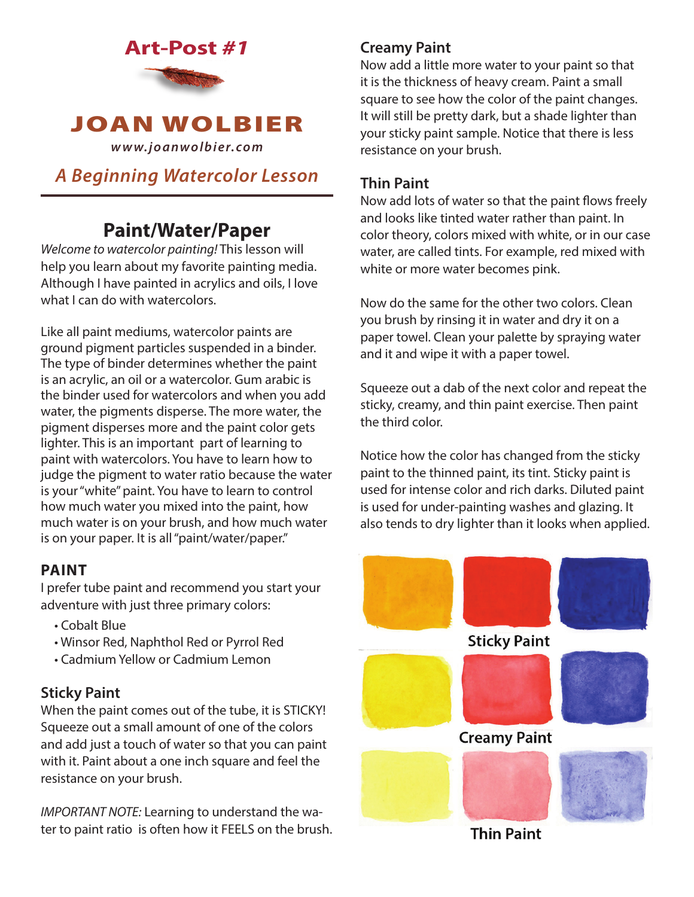



*www.joanwolbier.com*

# *A Beginning Watercolor Lesson*

# **Paint/Water/Paper**

*Welcome to watercolor painting!* This lesson will help you learn about my favorite painting media. Although I have painted in acrylics and oils, I love what I can do with watercolors.

Like all paint mediums, watercolor paints are ground pigment particles suspended in a binder. The type of binder determines whether the paint is an acrylic, an oil or a watercolor. Gum arabic is the binder used for watercolors and when you add water, the pigments disperse. The more water, the pigment disperses more and the paint color gets lighter. This is an important part of learning to paint with watercolors. You have to learn how to judge the pigment to water ratio because the water is your "white" paint. You have to learn to control how much water you mixed into the paint, how much water is on your brush, and how much water is on your paper. It is all "paint/water/paper."

#### **PAINT**

I prefer tube paint and recommend you start your adventure with just three primary colors:

- Cobalt Blue
- Winsor Red, Naphthol Red or Pyrrol Red
- Cadmium Yellow or Cadmium Lemon

# **Sticky Paint**

When the paint comes out of the tube, it is STICKY! Squeeze out a small amount of one of the colors and add just a touch of water so that you can paint with it. Paint about a one inch square and feel the resistance on your brush.

*IMPORTANT NOTE:* Learning to understand the water to paint ratio is often how it FEELS on the brush.

# **Creamy Paint**

Now add a little more water to your paint so that it is the thickness of heavy cream. Paint a small square to see how the color of the paint changes. It will still be pretty dark, but a shade lighter than your sticky paint sample. Notice that there is less resistance on your brush.

#### **Thin Paint**

Now add lots of water so that the paint flows freely and looks like tinted water rather than paint. In color theory, colors mixed with white, or in our case water, are called tints. For example, red mixed with white or more water becomes pink.

Now do the same for the other two colors. Clean you brush by rinsing it in water and dry it on a paper towel. Clean your palette by spraying water and it and wipe it with a paper towel.

Squeeze out a dab of the next color and repeat the sticky, creamy, and thin paint exercise. Then paint the third color.

Notice how the color has changed from the sticky paint to the thinned paint, its tint. Sticky paint is used for intense color and rich darks. Diluted paint is used for under-painting washes and glazing. It also tends to dry lighter than it looks when applied.



**Thin Paint**